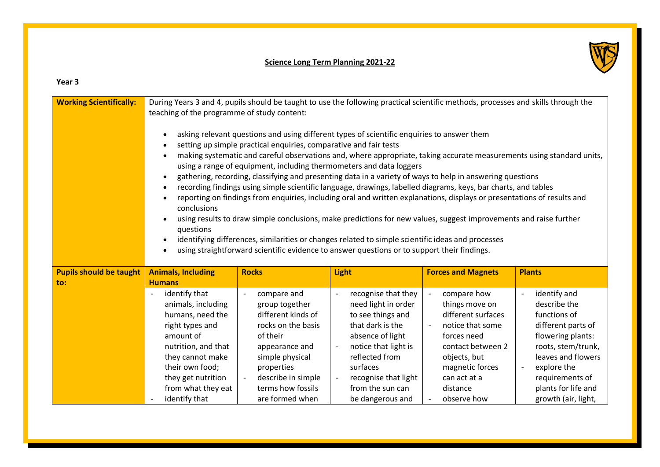## **Science Long Term Planning 2021-22**



## **Year 3**

| <b>Working Scientifically:</b> | During Years 3 and 4, pupils should be taught to use the following practical scientific methods, processes and skills through the<br>teaching of the programme of study content:<br>asking relevant questions and using different types of scientific enquiries to answer them<br>setting up simple practical enquiries, comparative and fair tests<br>making systematic and careful observations and, where appropriate, taking accurate measurements using standard units,<br>using a range of equipment, including thermometers and data loggers<br>gathering, recording, classifying and presenting data in a variety of ways to help in answering questions<br>recording findings using simple scientific language, drawings, labelled diagrams, keys, bar charts, and tables<br>$\bullet$<br>reporting on findings from enquiries, including oral and written explanations, displays or presentations of results and<br>conclusions<br>using results to draw simple conclusions, make predictions for new values, suggest improvements and raise further<br>questions<br>identifying differences, similarities or changes related to simple scientific ideas and processes<br>using straightforward scientific evidence to answer questions or to support their findings. |                                   |                                                                    |                                              |                                          |
|--------------------------------|---------------------------------------------------------------------------------------------------------------------------------------------------------------------------------------------------------------------------------------------------------------------------------------------------------------------------------------------------------------------------------------------------------------------------------------------------------------------------------------------------------------------------------------------------------------------------------------------------------------------------------------------------------------------------------------------------------------------------------------------------------------------------------------------------------------------------------------------------------------------------------------------------------------------------------------------------------------------------------------------------------------------------------------------------------------------------------------------------------------------------------------------------------------------------------------------------------------------------------------------------------------------------------|-----------------------------------|--------------------------------------------------------------------|----------------------------------------------|------------------------------------------|
| <b>Pupils should be taught</b> | <b>Animals, Including</b>                                                                                                                                                                                                                                                                                                                                                                                                                                                                                                                                                                                                                                                                                                                                                                                                                                                                                                                                                                                                                                                                                                                                                                                                                                                       | <b>Rocks</b>                      | <b>Light</b>                                                       | <b>Forces and Magnets</b>                    | <b>Plants</b>                            |
| to:                            | <b>Humans</b><br>identify that                                                                                                                                                                                                                                                                                                                                                                                                                                                                                                                                                                                                                                                                                                                                                                                                                                                                                                                                                                                                                                                                                                                                                                                                                                                  |                                   | recognise that they<br>$\overline{\phantom{a}}$                    | compare how                                  | identify and                             |
|                                | animals, including                                                                                                                                                                                                                                                                                                                                                                                                                                                                                                                                                                                                                                                                                                                                                                                                                                                                                                                                                                                                                                                                                                                                                                                                                                                              | compare and<br>group together     | need light in order                                                | things move on                               | describe the                             |
|                                | humans, need the                                                                                                                                                                                                                                                                                                                                                                                                                                                                                                                                                                                                                                                                                                                                                                                                                                                                                                                                                                                                                                                                                                                                                                                                                                                                | different kinds of                | to see things and                                                  | different surfaces                           | functions of                             |
|                                | right types and                                                                                                                                                                                                                                                                                                                                                                                                                                                                                                                                                                                                                                                                                                                                                                                                                                                                                                                                                                                                                                                                                                                                                                                                                                                                 | rocks on the basis                | that dark is the                                                   | notice that some<br>$\overline{\phantom{a}}$ | different parts of                       |
|                                | amount of                                                                                                                                                                                                                                                                                                                                                                                                                                                                                                                                                                                                                                                                                                                                                                                                                                                                                                                                                                                                                                                                                                                                                                                                                                                                       | of their                          | absence of light                                                   | forces need                                  | flowering plants:                        |
|                                | nutrition, and that<br>they cannot make                                                                                                                                                                                                                                                                                                                                                                                                                                                                                                                                                                                                                                                                                                                                                                                                                                                                                                                                                                                                                                                                                                                                                                                                                                         | appearance and<br>simple physical | notice that light is<br>$\overline{\phantom{a}}$<br>reflected from | contact between 2<br>objects, but            | roots, stem/trunk,<br>leaves and flowers |
|                                | their own food;                                                                                                                                                                                                                                                                                                                                                                                                                                                                                                                                                                                                                                                                                                                                                                                                                                                                                                                                                                                                                                                                                                                                                                                                                                                                 | properties                        | surfaces                                                           | magnetic forces                              | explore the                              |
|                                | they get nutrition                                                                                                                                                                                                                                                                                                                                                                                                                                                                                                                                                                                                                                                                                                                                                                                                                                                                                                                                                                                                                                                                                                                                                                                                                                                              | describe in simple                | recognise that light                                               | can act at a                                 | requirements of                          |
|                                | from what they eat                                                                                                                                                                                                                                                                                                                                                                                                                                                                                                                                                                                                                                                                                                                                                                                                                                                                                                                                                                                                                                                                                                                                                                                                                                                              | terms how fossils                 | from the sun can                                                   | distance                                     | plants for life and                      |
|                                | identify that                                                                                                                                                                                                                                                                                                                                                                                                                                                                                                                                                                                                                                                                                                                                                                                                                                                                                                                                                                                                                                                                                                                                                                                                                                                                   | are formed when                   | be dangerous and                                                   | observe how                                  | growth (air, light,                      |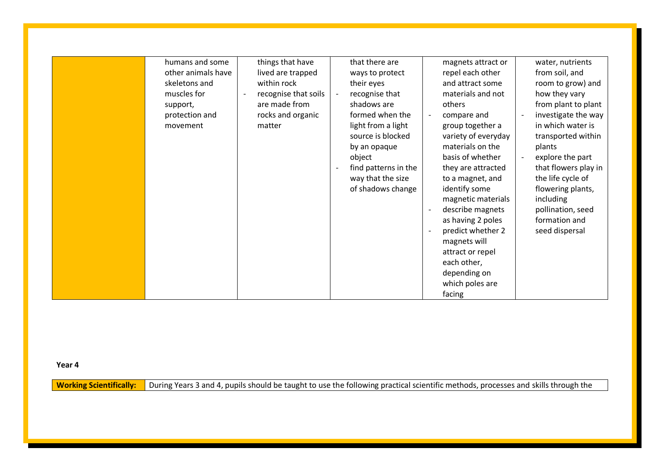**Year 4**

**Working Scientifically:** During Years 3 and 4, pupils should be taught to use the following practical scientific methods, processes and skills through the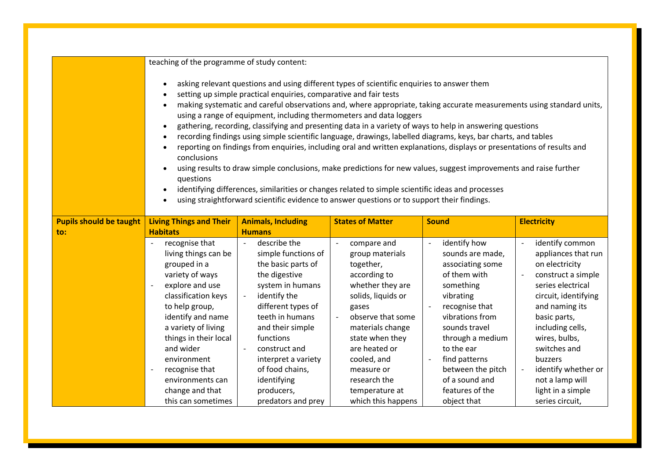|                                | teaching of the programme of study content:                                                                                                                                                                                                                                                                                                                                                                                                                                                                                                                                                                                                                                                                                                                                                                                                                                                                                                                                                                                                                                                 |                                               |                                                            |                                                              |                                                                    |  |
|--------------------------------|---------------------------------------------------------------------------------------------------------------------------------------------------------------------------------------------------------------------------------------------------------------------------------------------------------------------------------------------------------------------------------------------------------------------------------------------------------------------------------------------------------------------------------------------------------------------------------------------------------------------------------------------------------------------------------------------------------------------------------------------------------------------------------------------------------------------------------------------------------------------------------------------------------------------------------------------------------------------------------------------------------------------------------------------------------------------------------------------|-----------------------------------------------|------------------------------------------------------------|--------------------------------------------------------------|--------------------------------------------------------------------|--|
|                                | asking relevant questions and using different types of scientific enquiries to answer them<br>setting up simple practical enquiries, comparative and fair tests<br>making systematic and careful observations and, where appropriate, taking accurate measurements using standard units,<br>using a range of equipment, including thermometers and data loggers<br>gathering, recording, classifying and presenting data in a variety of ways to help in answering questions<br>$\bullet$<br>recording findings using simple scientific language, drawings, labelled diagrams, keys, bar charts, and tables<br>reporting on findings from enquiries, including oral and written explanations, displays or presentations of results and<br>conclusions<br>using results to draw simple conclusions, make predictions for new values, suggest improvements and raise further<br>questions<br>identifying differences, similarities or changes related to simple scientific ideas and processes<br>using straightforward scientific evidence to answer questions or to support their findings. |                                               |                                                            |                                                              |                                                                    |  |
| <b>Pupils should be taught</b> | <b>Living Things and Their</b>                                                                                                                                                                                                                                                                                                                                                                                                                                                                                                                                                                                                                                                                                                                                                                                                                                                                                                                                                                                                                                                              | <b>Animals, Including</b>                     | <b>States of Matter</b>                                    | <b>Sound</b>                                                 | <b>Electricity</b>                                                 |  |
| to:                            | <b>Habitats</b>                                                                                                                                                                                                                                                                                                                                                                                                                                                                                                                                                                                                                                                                                                                                                                                                                                                                                                                                                                                                                                                                             | <b>Humans</b>                                 |                                                            |                                                              |                                                                    |  |
|                                | recognise that<br>living things can be                                                                                                                                                                                                                                                                                                                                                                                                                                                                                                                                                                                                                                                                                                                                                                                                                                                                                                                                                                                                                                                      | describe the<br>$\sim$<br>simple functions of | compare and<br>$\overline{\phantom{a}}$<br>group materials | identify how<br>$\overline{\phantom{a}}$<br>sounds are made, | identify common<br>$\overline{\phantom{a}}$<br>appliances that run |  |
|                                | grouped in a                                                                                                                                                                                                                                                                                                                                                                                                                                                                                                                                                                                                                                                                                                                                                                                                                                                                                                                                                                                                                                                                                | the basic parts of                            | together,                                                  | associating some                                             | on electricity                                                     |  |
|                                | variety of ways                                                                                                                                                                                                                                                                                                                                                                                                                                                                                                                                                                                                                                                                                                                                                                                                                                                                                                                                                                                                                                                                             | the digestive                                 | according to                                               | of them with                                                 | construct a simple                                                 |  |
|                                | explore and use<br>$\overline{\phantom{a}}$                                                                                                                                                                                                                                                                                                                                                                                                                                                                                                                                                                                                                                                                                                                                                                                                                                                                                                                                                                                                                                                 | system in humans                              | whether they are                                           | something                                                    | series electrical                                                  |  |
|                                | classification keys                                                                                                                                                                                                                                                                                                                                                                                                                                                                                                                                                                                                                                                                                                                                                                                                                                                                                                                                                                                                                                                                         | identify the                                  | solids, liquids or                                         | vibrating                                                    | circuit, identifying                                               |  |
|                                | to help group,                                                                                                                                                                                                                                                                                                                                                                                                                                                                                                                                                                                                                                                                                                                                                                                                                                                                                                                                                                                                                                                                              | different types of                            | gases                                                      | recognise that                                               | and naming its                                                     |  |
|                                | identify and name                                                                                                                                                                                                                                                                                                                                                                                                                                                                                                                                                                                                                                                                                                                                                                                                                                                                                                                                                                                                                                                                           | teeth in humans                               | observe that some                                          | vibrations from                                              | basic parts,                                                       |  |
|                                | a variety of living                                                                                                                                                                                                                                                                                                                                                                                                                                                                                                                                                                                                                                                                                                                                                                                                                                                                                                                                                                                                                                                                         | and their simple                              | materials change                                           | sounds travel                                                | including cells,                                                   |  |
|                                | things in their local                                                                                                                                                                                                                                                                                                                                                                                                                                                                                                                                                                                                                                                                                                                                                                                                                                                                                                                                                                                                                                                                       | functions                                     | state when they                                            | through a medium                                             | wires, bulbs,                                                      |  |
|                                | and wider                                                                                                                                                                                                                                                                                                                                                                                                                                                                                                                                                                                                                                                                                                                                                                                                                                                                                                                                                                                                                                                                                   | construct and                                 | are heated or                                              | to the ear                                                   | switches and                                                       |  |
|                                | environment                                                                                                                                                                                                                                                                                                                                                                                                                                                                                                                                                                                                                                                                                                                                                                                                                                                                                                                                                                                                                                                                                 | interpret a variety                           | cooled, and                                                | find patterns                                                | buzzers                                                            |  |
|                                | recognise that                                                                                                                                                                                                                                                                                                                                                                                                                                                                                                                                                                                                                                                                                                                                                                                                                                                                                                                                                                                                                                                                              | of food chains,                               | measure or                                                 | between the pitch                                            | identify whether or                                                |  |
|                                | environments can                                                                                                                                                                                                                                                                                                                                                                                                                                                                                                                                                                                                                                                                                                                                                                                                                                                                                                                                                                                                                                                                            | identifying                                   | research the                                               | of a sound and                                               | not a lamp will                                                    |  |
|                                | change and that                                                                                                                                                                                                                                                                                                                                                                                                                                                                                                                                                                                                                                                                                                                                                                                                                                                                                                                                                                                                                                                                             | producers,                                    | temperature at                                             | features of the                                              | light in a simple                                                  |  |
|                                | this can sometimes                                                                                                                                                                                                                                                                                                                                                                                                                                                                                                                                                                                                                                                                                                                                                                                                                                                                                                                                                                                                                                                                          | predators and prey                            | which this happens                                         | object that                                                  | series circuit,                                                    |  |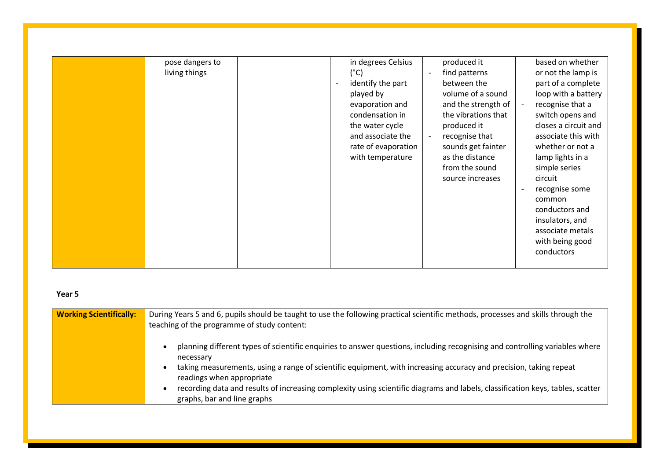| pose dangers to | in degrees Celsius                            | produced it                                | based on whether     |
|-----------------|-----------------------------------------------|--------------------------------------------|----------------------|
| living things   | $(^{\circ}C)$                                 | find patterns<br>$\overline{\phantom{a}}$  | or not the lamp is   |
|                 | identify the part<br>$\overline{\phantom{a}}$ | between the                                | part of a complete   |
|                 | played by                                     | volume of a sound                          | loop with a battery  |
|                 | evaporation and                               | and the strength of                        | recognise that a     |
|                 | condensation in                               | the vibrations that                        | switch opens and     |
|                 | the water cycle                               | produced it                                | closes a circuit and |
|                 | and associate the                             | recognise that<br>$\overline{\phantom{a}}$ | associate this with  |
|                 | rate of evaporation                           | sounds get fainter                         | whether or not a     |
|                 | with temperature                              | as the distance                            | lamp lights in a     |
|                 |                                               | from the sound                             | simple series        |
|                 |                                               | source increases                           | circuit              |
|                 |                                               |                                            | recognise some       |
|                 |                                               |                                            | common               |
|                 |                                               |                                            | conductors and       |
|                 |                                               |                                            | insulators, and      |
|                 |                                               |                                            | associate metals     |
|                 |                                               |                                            | with being good      |
|                 |                                               |                                            | conductors           |
|                 |                                               |                                            |                      |

## **Year 5**

| <b>Working Scientifically:</b> | During Years 5 and 6, pupils should be taught to use the following practical scientific methods, processes and skills through the<br>teaching of the programme of study content: |
|--------------------------------|----------------------------------------------------------------------------------------------------------------------------------------------------------------------------------|
|                                | planning different types of scientific enquiries to answer questions, including recognising and controlling variables where<br>necessary                                         |
|                                | taking measurements, using a range of scientific equipment, with increasing accuracy and precision, taking repeat<br>readings when appropriate                                   |
|                                | recording data and results of increasing complexity using scientific diagrams and labels, classification keys, tables, scatter<br>graphs, bar and line graphs                    |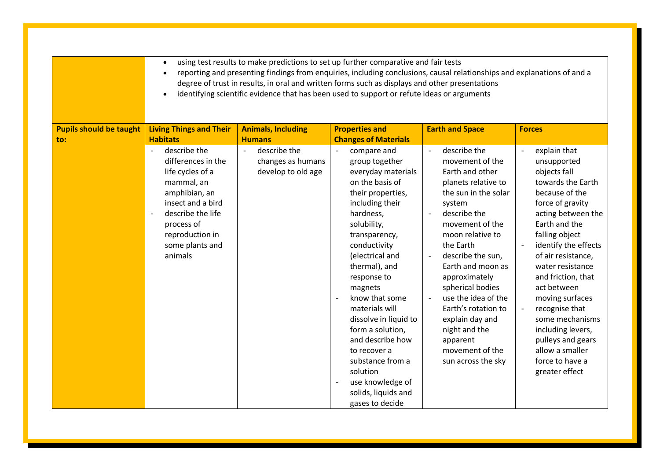|                                | using test results to make predictions to set up further comparative and fair tests<br>$\bullet$<br>reporting and presenting findings from enquiries, including conclusions, causal relationships and explanations of and a<br>degree of trust in results, in oral and written forms such as displays and other presentations<br>identifying scientific evidence that has been used to support or refute ideas or arguments<br>$\bullet$ |                                                                           |                                                                                                                                                                                                                                                                                                                                                                                                                                                                                          |                                                                                                                                                                                                                                                                                                                                                                                                                                                               |                                                                                                                                                                                                                                                                                                                                                                                                                                  |
|--------------------------------|------------------------------------------------------------------------------------------------------------------------------------------------------------------------------------------------------------------------------------------------------------------------------------------------------------------------------------------------------------------------------------------------------------------------------------------|---------------------------------------------------------------------------|------------------------------------------------------------------------------------------------------------------------------------------------------------------------------------------------------------------------------------------------------------------------------------------------------------------------------------------------------------------------------------------------------------------------------------------------------------------------------------------|---------------------------------------------------------------------------------------------------------------------------------------------------------------------------------------------------------------------------------------------------------------------------------------------------------------------------------------------------------------------------------------------------------------------------------------------------------------|----------------------------------------------------------------------------------------------------------------------------------------------------------------------------------------------------------------------------------------------------------------------------------------------------------------------------------------------------------------------------------------------------------------------------------|
| <b>Pupils should be taught</b> | <b>Living Things and Their</b>                                                                                                                                                                                                                                                                                                                                                                                                           | <b>Animals, Including</b>                                                 | <b>Properties and</b>                                                                                                                                                                                                                                                                                                                                                                                                                                                                    | <b>Earth and Space</b>                                                                                                                                                                                                                                                                                                                                                                                                                                        | <b>Forces</b>                                                                                                                                                                                                                                                                                                                                                                                                                    |
| to:                            | <b>Habitats</b>                                                                                                                                                                                                                                                                                                                                                                                                                          | <b>Humans</b>                                                             | <b>Changes of Materials</b>                                                                                                                                                                                                                                                                                                                                                                                                                                                              |                                                                                                                                                                                                                                                                                                                                                                                                                                                               |                                                                                                                                                                                                                                                                                                                                                                                                                                  |
|                                | describe the<br>$\overline{a}$<br>differences in the<br>life cycles of a<br>mammal, an<br>amphibian, an<br>insect and a bird<br>describe the life<br>process of<br>reproduction in<br>some plants and<br>animals                                                                                                                                                                                                                         | describe the<br>$\blacksquare$<br>changes as humans<br>develop to old age | compare and<br>$\sim$<br>group together<br>everyday materials<br>on the basis of<br>their properties,<br>including their<br>hardness,<br>solubility,<br>transparency,<br>conductivity<br>(electrical and<br>thermal), and<br>response to<br>magnets<br>know that some<br>$\blacksquare$<br>materials will<br>dissolve in liquid to<br>form a solution,<br>and describe how<br>to recover a<br>substance from a<br>solution<br>use knowledge of<br>solids, liquids and<br>gases to decide | describe the<br>$\overline{\phantom{a}}$<br>movement of the<br>Earth and other<br>planets relative to<br>the sun in the solar<br>system<br>describe the<br>movement of the<br>moon relative to<br>the Earth<br>describe the sun,<br>$\overline{\phantom{a}}$<br>Earth and moon as<br>approximately<br>spherical bodies<br>use the idea of the<br>Earth's rotation to<br>explain day and<br>night and the<br>apparent<br>movement of the<br>sun across the sky | explain that<br>unsupported<br>objects fall<br>towards the Earth<br>because of the<br>force of gravity<br>acting between the<br>Earth and the<br>falling object<br>identify the effects<br>of air resistance,<br>water resistance<br>and friction, that<br>act between<br>moving surfaces<br>recognise that<br>some mechanisms<br>including levers,<br>pulleys and gears<br>allow a smaller<br>force to have a<br>greater effect |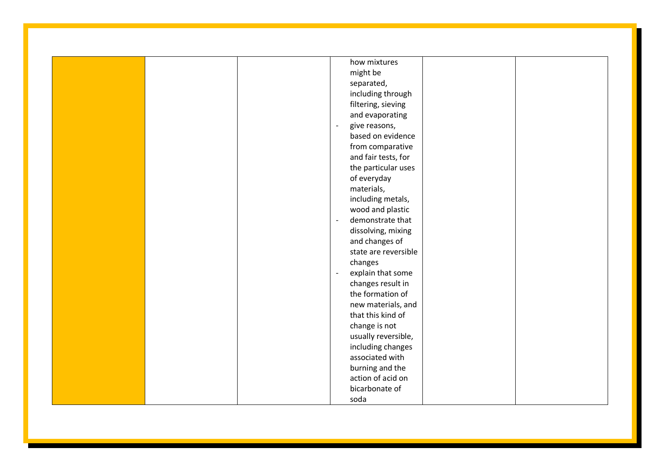|  | how mixtures                    |
|--|---------------------------------|
|  | might be                        |
|  | separated,                      |
|  | including through               |
|  | filtering, sieving              |
|  | and evaporating                 |
|  | give reasons,<br>$\blacksquare$ |
|  | based on evidence               |
|  | from comparative                |
|  | and fair tests, for             |
|  | the particular uses             |
|  | of everyday                     |
|  | materials,                      |
|  | including metals,               |
|  | wood and plastic                |
|  | demonstrate that<br>$\sim$      |
|  | dissolving, mixing              |
|  | and changes of                  |
|  | state are reversible            |
|  | changes                         |
|  | explain that some<br>$\Box$     |
|  | changes result in               |
|  | the formation of                |
|  | new materials, and              |
|  | that this kind of               |
|  | change is not                   |
|  | usually reversible,             |
|  | including changes               |
|  | associated with                 |
|  | burning and the                 |
|  | action of acid on               |
|  | bicarbonate of                  |
|  |                                 |
|  | soda                            |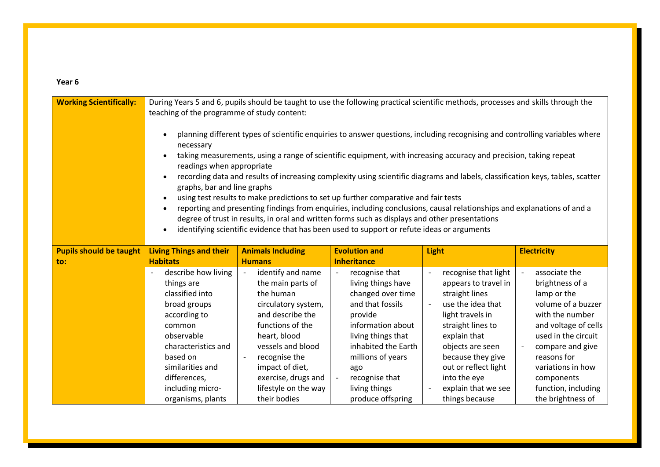## **Year 6**

| <b>Working Scientifically:</b>        | During Years 5 and 6, pupils should be taught to use the following practical scientific methods, processes and skills through the<br>teaching of the programme of study content:<br>planning different types of scientific enquiries to answer questions, including recognising and controlling variables where<br>necessary<br>taking measurements, using a range of scientific equipment, with increasing accuracy and precision, taking repeat<br>readings when appropriate<br>recording data and results of increasing complexity using scientific diagrams and labels, classification keys, tables, scatter<br>graphs, bar and line graphs<br>using test results to make predictions to set up further comparative and fair tests<br>reporting and presenting findings from enquiries, including conclusions, causal relationships and explanations of and a<br>$\bullet$<br>degree of trust in results, in oral and written forms such as displays and other presentations<br>identifying scientific evidence that has been used to support or refute ideas or arguments<br>$\bullet$ |                                                                                                                                                                                                                                                            |                                                                                                                                                                                                                                                                                                        |                                                                                                                                                                                                                                                                        |                                                                                                                                                                                                                                                           |
|---------------------------------------|---------------------------------------------------------------------------------------------------------------------------------------------------------------------------------------------------------------------------------------------------------------------------------------------------------------------------------------------------------------------------------------------------------------------------------------------------------------------------------------------------------------------------------------------------------------------------------------------------------------------------------------------------------------------------------------------------------------------------------------------------------------------------------------------------------------------------------------------------------------------------------------------------------------------------------------------------------------------------------------------------------------------------------------------------------------------------------------------|------------------------------------------------------------------------------------------------------------------------------------------------------------------------------------------------------------------------------------------------------------|--------------------------------------------------------------------------------------------------------------------------------------------------------------------------------------------------------------------------------------------------------------------------------------------------------|------------------------------------------------------------------------------------------------------------------------------------------------------------------------------------------------------------------------------------------------------------------------|-----------------------------------------------------------------------------------------------------------------------------------------------------------------------------------------------------------------------------------------------------------|
| <b>Pupils should be taught</b><br>to: | <b>Living Things and their</b><br><b>Habitats</b>                                                                                                                                                                                                                                                                                                                                                                                                                                                                                                                                                                                                                                                                                                                                                                                                                                                                                                                                                                                                                                           | <b>Animals Including</b><br><b>Humans</b>                                                                                                                                                                                                                  | <b>Evolution and</b><br><b>Inheritance</b>                                                                                                                                                                                                                                                             | <b>Light</b>                                                                                                                                                                                                                                                           | <b>Electricity</b>                                                                                                                                                                                                                                        |
|                                       | describe how living<br>things are<br>classified into<br>broad groups<br>according to<br>common<br>observable<br>characteristics and<br>based on<br>similarities and<br>differences,<br>including micro-<br>organisms, plants                                                                                                                                                                                                                                                                                                                                                                                                                                                                                                                                                                                                                                                                                                                                                                                                                                                                | identify and name<br>the main parts of<br>the human<br>circulatory system,<br>and describe the<br>functions of the<br>heart, blood<br>vessels and blood<br>recognise the<br>impact of diet,<br>exercise, drugs and<br>lifestyle on the way<br>their bodies | recognise that<br>$\overline{\phantom{a}}$<br>living things have<br>changed over time<br>and that fossils<br>provide<br>information about<br>living things that<br>inhabited the Earth<br>millions of years<br>ago<br>recognise that<br>$\overline{\phantom{a}}$<br>living things<br>produce offspring | recognise that light<br>appears to travel in<br>straight lines<br>use the idea that<br>light travels in<br>straight lines to<br>explain that<br>objects are seen<br>because they give<br>out or reflect light<br>into the eye<br>explain that we see<br>things because | associate the<br>brightness of a<br>lamp or the<br>volume of a buzzer<br>with the number<br>and voltage of cells<br>used in the circuit<br>compare and give<br>reasons for<br>variations in how<br>components<br>function, including<br>the brightness of |